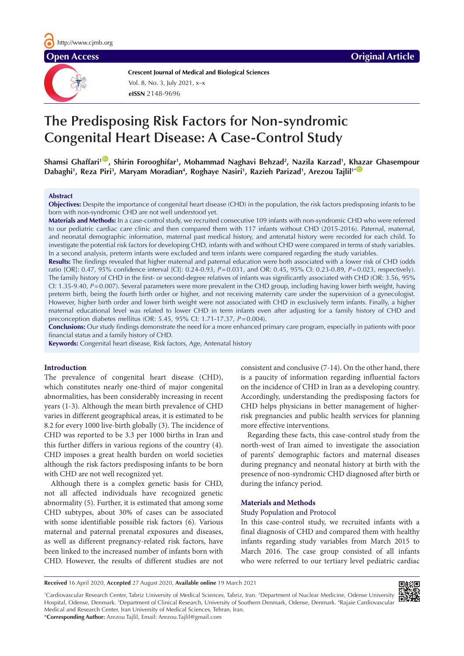**Crescent Journal of Medical and Biological Sciences eISSN** 2148-9696 Vol. 8, No. 3, July 2021, x–x

# **The Predisposing Risk Factors for Non-syndromic Congenital Heart Disease: A Case-Control Study**

 $\boldsymbol{\delta}$ Shamsi Ghaffari' $\boldsymbol{\mathsf{w}}$ , Shirin Forooghifar', Mohammad Naghavi Behzad<sup>2</sup>, Nazila Karzad', K[haz](https://orcid.org/0000-0003-1153-3390)ar Ghasempour Dabaghi<sup>1</sup>, Reza Piri<sup>3</sup>, Maryam Moradian<sup>4</sup>, Roghaye Nasiri<sup>1</sup>, Razieh Parizad<sup>1</sup>, Arezou Tajlil<sup>1\*@</sup>

# **Abstract**

**Objectives:** Despite the importance of congenital heart disease (CHD) in the population, the risk factors predisposing infants to be born with non-syndromic CHD are not well understood yet.

**Materials and Methods:** In a case-control study, we recruited consecutive 109 infants with non-syndromic CHD who were referred to our pediatric cardiac care clinic and then compared them with 117 infants without CHD (2015-2016). Paternal, maternal, and neonatal demographic information, maternal past medical history, and antenatal history were recorded for each child. To investigate the potential risk factors for developing CHD, infants with and without CHD were compared in terms of study variables. In a second analysis, preterm infants were excluded and term infants were compared regarding the study variables.

**Results:** The findings revealed that higher maternal and paternal education were both associated with a lower risk of CHD (odds ratio [OR]: 0.47, 95% confidence interval [CI]: 0.24-0.93, *P*=0.031, and OR: 0.45, 95% CI: 0.23-0.89, *P*=0.023, respectively). The family history of CHD in the first- or second-degree relatives of infants was significantly associated with CHD (OR: 3.56, 95% CI: 1.35-9.40, *P*=0.007). Several parameters were more prevalent in the CHD group, including having lower birth weight, having preterm birth, being the fourth birth order or higher, and not receiving maternity care under the supervision of a gynecologist. However, higher birth order and lower birth weight were not associated with CHD in exclusively term infants. Finally, a higher maternal educational level was related to lower CHD in term infants even after adjusting for a family history of CHD and preconception diabetes mellitus (OR: 5.45, 95% CI: 1.71-17.37, *P*=0.004).

**Conclusions:** Our study findings demonstrate the need for a more enhanced primary care program, especially in patients with poor financial status and a family history of CHD.

**Keywords:** Congenital heart disease, Risk factors, Age, Antenatal history

# **Introduction**

The prevalence of congenital heart disease (CHD), which constitutes nearly one-third of major congenital abnormalities, has been considerably increasing in recent years (1-3). Although the mean birth prevalence of CHD varies in different geographical areas, it is estimated to be 8.2 for every 1000 live-birth globally (3). The incidence of CHD was reported to be 3.3 per 1000 births in Iran and this further differs in various regions of the country (4). CHD imposes a great health burden on world societies although the risk factors predisposing infants to be born with CHD are not well recognized yet.

Although there is a complex genetic basis for CHD, not all affected individuals have recognized genetic abnormality (5). Further, it is estimated that among some CHD subtypes, about 30% of cases can be associated with some identifiable possible risk factors (6). Various maternal and paternal prenatal exposures and diseases, as well as different pregnancy-related risk factors, have been linked to the increased number of infants born with CHD. However, the results of different studies are not

consistent and conclusive (7-14). On the other hand, there is a paucity of information regarding influential factors on the incidence of CHD in Iran as a developing country. Accordingly, understanding the predisposing factors for CHD helps physicians in better management of higherrisk pregnancies and public health services for planning more effective interventions.

Regarding these facts, this case-control study from the north-west of Iran aimed to investigate the association of parents' demographic factors and maternal diseases during pregnancy and neonatal history at birth with the presence of non-syndromic CHD diagnosed after birth or during the infancy period.

# **Materials and Methods**

#### Study Population and Protocol

In this case-control study, we recruited infants with a final diagnosis of CHD and compared them with healthy infants regarding study variables from March 2015 to March 2016. The case group consisted of all infants who were referred to our tertiary level pediatric cardiac

**Received** 16 April 2020, **Accepted** 27 August 2020, **Available online** 19 March 2021

<sup>1</sup>Cardiovascular Research Center, Tabriz University of Medical Sciences, Tabriz, Iran. <sup>2</sup>Department of Nuclear Medicine, Odense University Hospital, Odense, Denmark. <sup>3</sup>Department of Clinical Research, University of Southern Denmark, Odense, Denmark. <sup>4</sup>Rajaie Cardiovascular Medical and Research Center, Iran University of Medical Sciences, Tehran, Iran.

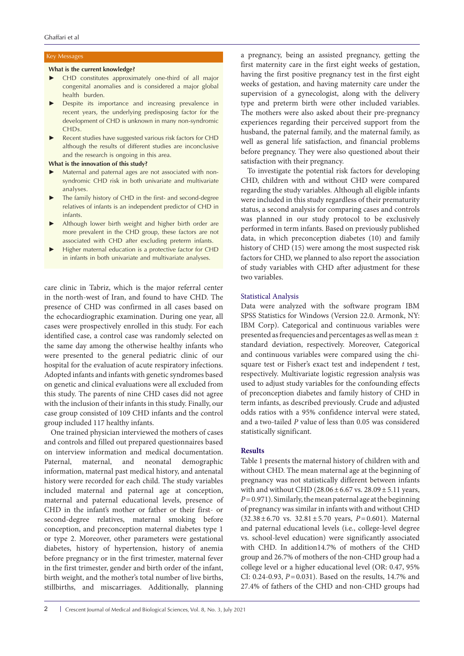# Key Messages

# **What is the current knowledge?**

- ► CHD constitutes approximately one-third of all major congenital anomalies and is considered a major global health burden.
- ► Despite its importance and increasing prevalence in recent years, the underlying predisposing factor for the development of CHD is unknown in many non-syndromic CHDs.
- Recent studies have suggested various risk factors for CHD although the results of different studies are inconclusive and the research is ongoing in this area.

**What is the innovation of this study?**

- Maternal and paternal ages are not associated with nonsyndromic CHD risk in both univariate and multivariate analyses.
- The family history of CHD in the first- and second-degree relatives of infants is an independent predictor of CHD in infants.
- Although lower birth weight and higher birth order are more prevalent in the CHD group, these factors are not associated with CHD after excluding preterm infants.
- Higher maternal education is a protective factor for CHD in infants in both univariate and multivariate analyses.

care clinic in Tabriz, which is the major referral center in the north-west of Iran, and found to have CHD. The presence of CHD was confirmed in all cases based on the echocardiographic examination. During one year, all cases were prospectively enrolled in this study. For each identified case, a control case was randomly selected on the same day among the otherwise healthy infants who were presented to the general pediatric clinic of our hospital for the evaluation of acute respiratory infections. Adopted infants and infants with genetic syndromes based on genetic and clinical evaluations were all excluded from this study. The parents of nine CHD cases did not agree with the inclusion of their infants in this study. Finally, our case group consisted of 109 CHD infants and the control group included 117 healthy infants.

One trained physician interviewed the mothers of cases and controls and filled out prepared questionnaires based on interview information and medical documentation. Paternal, maternal, and neonatal demographic information, maternal past medical history, and antenatal history were recorded for each child. The study variables included maternal and paternal age at conception, maternal and paternal educational levels, presence of CHD in the infant's mother or father or their first- or second-degree relatives, maternal smoking before conception, and preconception maternal diabetes type 1 or type 2. Moreover, other parameters were gestational diabetes, history of hypertension, history of anemia before pregnancy or in the first trimester, maternal fever in the first trimester, gender and birth order of the infant, birth weight, and the mother's total number of live births, stillbirths, and miscarriages. Additionally, planning a pregnancy, being an assisted pregnancy, getting the first maternity care in the first eight weeks of gestation, having the first positive pregnancy test in the first eight weeks of gestation, and having maternity care under the supervision of a gynecologist, along with the delivery type and preterm birth were other included variables. The mothers were also asked about their pre-pregnancy experiences regarding their perceived support from the husband, the paternal family, and the maternal family, as well as general life satisfaction, and financial problems before pregnancy. They were also questioned about their satisfaction with their pregnancy.

To investigate the potential risk factors for developing CHD, children with and without CHD were compared regarding the study variables. Although all eligible infants were included in this study regardless of their prematurity status, a second analysis for comparing cases and controls was planned in our study protocol to be exclusively performed in term infants. Based on previously published data, in which preconception diabetes (10) and family history of CHD (15) were among the most suspected risk factors for CHD, we planned to also report the association of study variables with CHD after adjustment for these two variables.

# Statistical Analysis

Data were analyzed with the software program IBM SPSS Statistics for Windows (Version 22.0. Armonk, NY: IBM Corp). Categorical and continuous variables were presented as frequencies and percentages as well as mean ± standard deviation, respectively. Moreover, Categorical and continuous variables were compared using the chisquare test or Fisher's exact test and independent *t* test, respectively. Multivariate logistic regression analysis was used to adjust study variables for the confounding effects of preconception diabetes and family history of CHD in term infants, as described previously. Crude and adjusted odds ratios with a 95% confidence interval were stated, and a two-tailed *P* value of less than 0.05 was considered statistically significant.

# **Results**

Table 1 presents the maternal history of children with and without CHD. The mean maternal age at the beginning of pregnancy was not statistically different between infants with and without CHD  $(28.06 \pm 6.67 \text{ vs. } 28.09 \pm 5.11 \text{ years},$ *P*=0.971). Similarly, the mean paternal age at the beginning of pregnancy was similar in infants with and without CHD (32.38±6.70 vs. 32.81±5.70 years, *P*=0.601). Maternal and paternal educational levels (i.e., college-level degree vs. school-level education) were significantly associated with CHD. In addition14.7% of mothers of the CHD group and 26.7% of mothers of the non-CHD group had a college level or a higher educational level (OR: 0.47, 95% CI: 0.24-0.93, *P*=0.031). Based on the results, 14.7% and 27.4% of fathers of the CHD and non-CHD groups had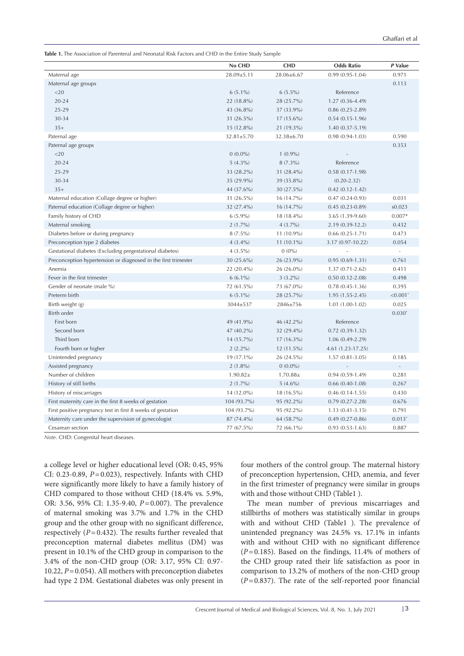**Table 1.** The Association of Parenteral and Neonatal Risk Factors and CHD in the Entire Study Sample

|                                                                | No CHD           | <b>CHD</b>    | <b>Odds Ratio</b>   | P Value                |
|----------------------------------------------------------------|------------------|---------------|---------------------|------------------------|
| Maternal age                                                   | $28.09 \pm 5.11$ | 28.06±6.67    | $0.99(0.95 - 1.04)$ | 0.971                  |
| Maternal age groups                                            |                  |               |                     | 0.113                  |
| $<$ 20                                                         | $6(5.1\%)$       | $6(5.5\%)$    | Reference           |                        |
| $20 - 24$                                                      | 22 (18.8%)       | 28 (25.7%)    | $1.27(0.36 - 4.49)$ |                        |
| $25 - 29$                                                      | 43 (36.8%)       | 37 (33.9%)    | $0.86(0.25-2.89)$   |                        |
| 30-34                                                          | $31(26.5\%)$     | $17(15.6\%)$  | $0.54(0.15-1.96)$   |                        |
| $35+$                                                          | $15(12.8\%)$     | $21(19.3\%)$  | $1.40(0.37 - 5.19)$ |                        |
| Paternal age                                                   | $32.81 \pm 5.70$ | 32.38±6.70    | $0.98(0.94-1.03)$   | 0.590                  |
| Paternal age groups                                            |                  |               |                     | 0.353                  |
| $<$ 20                                                         | $0(0.0\%)$       | $1(0.9\%)$    |                     |                        |
| $20 - 24$                                                      | $5(4.3\%)$       | $8(7.3\%)$    | Reference           |                        |
| $25 - 29$                                                      | 33 (28.2%)       | 31 (28.4%)    | $0.58(0.17-1.98)$   |                        |
| 30-34                                                          | 35 (29.9%)       | 39 (35.8%)    | $(0.20 - 2.32)$     |                        |
| $35+$                                                          | 44 (37.6%)       | $30(27.5\%)$  | $0.42(0.12 - 1.42)$ |                        |
| Maternal education (Collage degree or higher)                  | 31 (26.5%)       | $16(14.7\%)$  | $0.47(0.24-0.93)$   | 0.031                  |
| Paternal education (Collage degree or higher)                  | 32 (27.4%)       | 16 (14.7%)    | $0.45(0.23-0.89)$   | s0.023                 |
| Family history of CHD                                          | $6(5.9\%)$       | 18 (18.4%)    | 3.65 (1.39-9.60)    | $0.007*$               |
| Maternal smoking                                               | $2(1.7\%)$       | $4(3.7\%)$    | $2.19(0.39-12.2)$   | 0.432                  |
| Diabetes before or during pregnancy                            | $8(7.5\%)$       | 11 (10.9%)    | $0.66(0.25-1.71)$   | 0.473                  |
| Preconception type 2 diabetes                                  | $4(3.4\%)$       | $11(10.1\%)$  | 3.17 (0.97-10.22)   | 0.054                  |
| Gestational diabetes (Excluding pregestational diabetes)       | $4(3.5\%)$       | $0(0\%)$      |                     | $\bar{z}$              |
| Preconception hypertension or diagnosed in the first trimester | 30 (25.6%)       | 26 (23.9%)    | $0.95(0.69-1.31)$   | 0.761                  |
| Anemia                                                         | 22 (20.4%)       | $26(26.0\%)$  | $1.37(0.71 - 2.62)$ | 0.411                  |
| Fever in the first trimester                                   | $6(6.1\%)$       | $3(3.2\%)$    | $0.50(0.12 - 2.08)$ | 0.498                  |
| Gender of neonate (male %)                                     | 72 (61.5%)       | 73 (67.0%)    | $0.78(0.45 - 1.36)$ | 0.395                  |
| Preterm birth                                                  | $6(5.1\%)$       | 28 (25.7%)    | $1.95(1.55-2.45)$   | $< 0.001$ <sup>*</sup> |
| Birth weight (g)                                               | 3044±537         | 2846±756      | $1.01(1.00-1.02)$   | 0.025                  |
| Birth order                                                    |                  |               |                     | $0.030*$               |
| First born                                                     | 49 (41.9%)       | 46 (42.2%)    | Reference           |                        |
| Second born                                                    | 47 (40.2%)       | 32 (29.4%)    | $0.72(0.39-1.32)$   |                        |
| Third born                                                     | 14 (15.7%)       | $17(16.3\%)$  | $1.06(0.49-2.29)$   |                        |
| Fourth born or higher                                          | $2(2.2\%)$       | 12 (11.5%)    | 4.61 (1.23-17.25)   |                        |
| Unintended pregnancy                                           | 19 (17.1%)       | 26 (24.5%)    | $1.57(0.81 - 3.05)$ | 0.185                  |
| Assisted pregnancy                                             | $2(1.8\%)$       | $0(0.0\%)$    |                     |                        |
| Number of children                                             | $1.90.82 \pm$    | $1.70.88 \pm$ | $0.94(0.59-1.49)$   | 0.281                  |
| History of still births                                        | $2(1.7\%)$       | $5(4.6\%)$    | $0.66(0.40-1.08)$   | 0.267                  |
| History of miscarriages                                        | 14 (12.0%)       | 18 (16.5%)    | $0.46(0.14-1.55)$   | 0.430                  |
| First maternity care in the first 8 weeks of gestation         | 104 (93.7%)      | 95 (92.2%)    | $0.79(0.27 - 2.28)$ | 0.676                  |
| First positive pregnancy test in first 8 weeks of gestation    | 104 (93.7%)      | 95 (92.2%)    | $1.13(0.41 - 3.15)$ | 0.791                  |
| Maternity care under the supervision of gynecologist           | 87 (74.4%)       | 64 (58.7%)    | $0.49(0.27-0.86)$   | 0.013'                 |
| Cesarean section                                               | 77 (67.5%)       | 72 (66.1%)    | $0.93(0.53 - 1.63)$ | 0.887                  |

*Note*. CHD: Congenital heart diseases.

a college level or higher educational level (OR: 0.45, 95% CI: 0.23-0.89, *P*=0.023), respectively. Infants with CHD were significantly more likely to have a family history of CHD compared to those without CHD (18.4% vs. 5.9%, OR: 3.56, 95% CI: 1.35-9.40, *P*=0.007). The prevalence of maternal smoking was 3.7% and 1.7% in the CHD group and the other group with no significant difference, respectively  $(P=0.432)$ . The results further revealed that preconception maternal diabetes mellitus (DM) was present in 10.1% of the CHD group in comparison to the 3.4% of the non-CHD group (OR: 3.17, 95% CI: 0.97- 10.22, *P*=0.054). All mothers with preconception diabetes had type 2 DM. Gestational diabetes was only present in

four mothers of the control group. The maternal history of preconception hypertension, CHD, anemia, and fever in the first trimester of pregnancy were similar in groups with and those without CHD (Table1 ).

The mean number of previous miscarriages and stillbirths of mothers was statistically similar in groups with and without CHD (Table1 ). The prevalence of unintended pregnancy was 24.5% vs. 17.1% in infants with and without CHD with no significant difference (*P*=0.185). Based on the findings, 11.4% of mothers of the CHD group rated their life satisfaction as poor in comparison to 13.2% of mothers of the non-CHD group  $(P=0.837)$ . The rate of the self-reported poor financial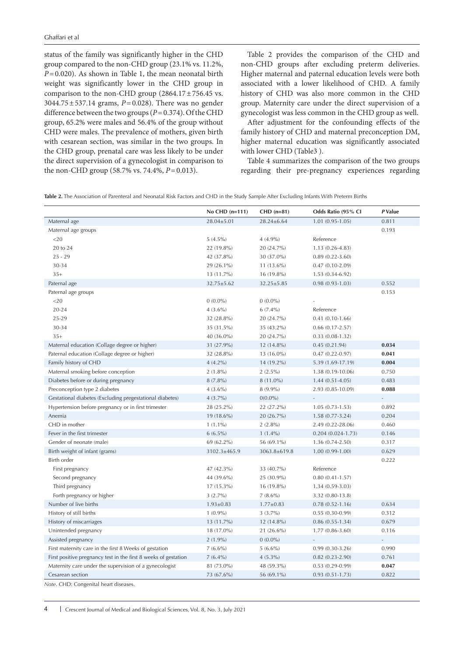status of the family was significantly higher in the CHD group compared to the non-CHD group (23.1% vs. 11.2%, *P*=0.020). As shown in Table 1, the mean neonatal birth weight was significantly lower in the CHD group in comparison to the non-CHD group  $(2864.17 \pm 756.45 \text{ vs.}$ 3044.75±537.14 grams, *P*=0.028). There was no gender difference between the two groups (*P*=0.374). Of the CHD group, 65.2% were males and 56.4% of the group without CHD were males. The prevalence of mothers, given birth with cesarean section, was similar in the two groups. In the CHD group, prenatal care was less likely to be under the direct supervision of a gynecologist in comparison to the non-CHD group (58.7% vs. 74.4%, *P*=0.013).

Table 2 provides the comparison of the CHD and non-CHD groups after excluding preterm deliveries. Higher maternal and paternal education levels were both associated with a lower likelihood of CHD. A family history of CHD was also more common in the CHD group. Maternity care under the direct supervision of a gynecologist was less common in the CHD group as well.

After adjustment for the confounding effects of the family history of CHD and maternal preconception DM, higher maternal education was significantly associated with lower CHD (Table3 ).

Table 4 summarizes the comparison of the two groups regarding their pre-pregnancy experiences regarding

**Table 2.** The Association of Parenteral and Neonatal Risk Factors and CHD in the Study Sample After Excluding Infants With Preterm Births

|                                                                 | No CHD $(n=111)$   | $CHD(n=81)$      | Odds Ratio (95% CI    | P Value                  |
|-----------------------------------------------------------------|--------------------|------------------|-----------------------|--------------------------|
| Maternal age                                                    | $28.04 \pm 5.01$   | $28.24 \pm 6.64$ | $1.01(0.95 - 1.05)$   | 0.811                    |
| Maternal age groups                                             |                    |                  |                       | 0.193                    |
| $<$ 20                                                          | $5(4.5\%)$         | $4(4.9\%)$       | Reference             |                          |
| $20$ to $24$                                                    | 22 (19.8%)         | 20 (24.7%)       | $1.13(0.26 - 4.83)$   |                          |
| $25 - 29$                                                       | 42 (37.8%)         | 30 (37.0%)       | $0.89(0.22 - 3.60)$   |                          |
| 30-34                                                           | 29 (26.1%)         | $11(13.6\%)$     | $0.47(0.10-2.09)$     |                          |
| $35+$                                                           | 13 (11.7%)         | 16 (19.8%)       | $1.53(0.34-6.92)$     |                          |
| Paternal age                                                    | $32.75 \pm 5.62$   | $32.25 \pm 5.85$ | $0.98(0.93 - 1.03)$   | 0.552                    |
| Paternal age groups                                             |                    |                  |                       | 0.153                    |
| $<$ 20                                                          | $0(0.0\%)$         | $0(0.0\%)$       |                       |                          |
| $20 - 24$                                                       | $4(3.6\%)$         | $6(7.4\%)$       | Reference             |                          |
| 25-29                                                           | 32 (28.8%)         | 20 (24.7%)       | $0.41(0.10-1.66)$     |                          |
| 30-34                                                           | 35 (31.5%)         | 35 (43.2%)       | $0.66(0.17-2.57)$     |                          |
| $35+$                                                           | $40(36.0\%)$       | 20 (24.7%)       | $0.33(0.08-1.32)$     |                          |
| Maternal education (Collage degree or higher)                   | 31 (27.9%)         | 12 (14.8%)       | 0.45(0.21.94)         | 0.034                    |
| Paternal education (Collage degree or higher)                   | 32 (28.8%)         | 13 (16.0%)       | $0.47(0.22 - 0.97)$   | 0.041                    |
| Family history of CHD                                           | $4(4.2\%)$         | 14 (19.2%)       | 5.39 (1.69-17.19)     | 0.004                    |
| Maternal smoking before conception                              | $2(1.8\%)$         | $2(2.5\%)$       | $1.38(0.19-10.06)$    | 0.750                    |
| Diabetes before or during pregnancy                             | $8(7.8\%)$         | 8 (11.0%)        | $1.44(0.51 - 4.05)$   | 0.483                    |
| Preconception type 2 diabetes                                   | $4(3.6\%)$         | $8(9.9\%)$       | 2.93 (0.85-10.09)     | 0.088                    |
| Gestational diabetes (Excluding pregestational diabetes)        | $4(3.7\%)$         | $0(0.0\%)$       |                       | $\overline{\phantom{a}}$ |
| Hypertension before pregnancy or in first trimester             | 28 (25.2%)         | 22 (27.2%)       | $1.05(0.73 - 1.53)$   | 0.892                    |
| Anemia                                                          | 19 (18.6%)         | 20 (26.7%)       | $1.58(0.77-3.24)$     | 0.204                    |
| CHD in mother                                                   | $1(1.1\%)$         | $2(2.8\%)$       | 2.49 (0.22-28.06)     | 0.460                    |
| Fever in the first trimester                                    | $6(6.5\%)$         | $1(1.4\%)$       | $0.204(0.024 - 1.73)$ | 0.146                    |
| Gender of neonate (male)                                        | 69 (62.2%)         | 56 (69.1%)       | $1.36(0.74 - 2.50)$   | 0.317                    |
| Birth weight of infant (grams)                                  | $3102.3 \pm 465.9$ | 3063.8±619.8     | $1.00(0.99-1.00)$     | 0.629                    |
| Birth order                                                     |                    |                  |                       | 0.222                    |
| First pregnancy                                                 | 47 (42.3%)         | 33 (40.7%)       | Reference             |                          |
| Second pregnancy                                                | 44 (39.6%)         | 25 (30.9%)       | $0.80(0.41 - 1.57)$   |                          |
| Third pregnancy                                                 | $17(15.3\%)$       | 16 (19.8%)       | $1.34(0.59-3.03)$     |                          |
| Forth pregnancy or higher                                       | $3(2.7\%)$         | $7(8.6\%)$       | 3.32 (0.80-13.8)      |                          |
| Number of live births                                           | $1.93 \pm 0.83$    | $1.77 \pm 0.83$  | $0.78(0.52 - 1.16)$   | 0.634                    |
| History of still births                                         | $1(0.9\%)$         | $3(3.7\%)$       | $0.55(0.30-0.99)$     | 0.312                    |
| History of miscarriages                                         | 13 (11.7%)         | 12 (14.8%)       | $0.86(0.55-1.34)$     | 0.679                    |
| Unintended pregnancy                                            | 18 (17.0%)         | 21 (26.6%)       | $1.77(0.86 - 3.60)$   | 0.116                    |
| Assisted pregnancy                                              | $2(1.9\%)$         | $0(0.0\%)$       |                       |                          |
| First maternity care in the first 8 Weeks of gestation          | $7(6.6\%)$         | $5(6.6\%)$       | $0.99(0.30-3.26)$     | 0.990                    |
| First positive pregnancy test in the first 8 weeks of gestation | $7(6.4\%)$         | $4(5.3\%)$       | $0.82(0.23-2.90)$     | 0.761                    |
| Maternity care under the supervision of a gynecologist          | 81 (73.0%)         | 48 (59.3%)       | $0.53(0.29-0.99)$     | 0.047                    |
| Cesarean section                                                | 73 (67.6%)         | 56 (69.1%)       | $0.93(0.51-1.73)$     | 0.822                    |

*Note*. CHD: Congenital heart diseases.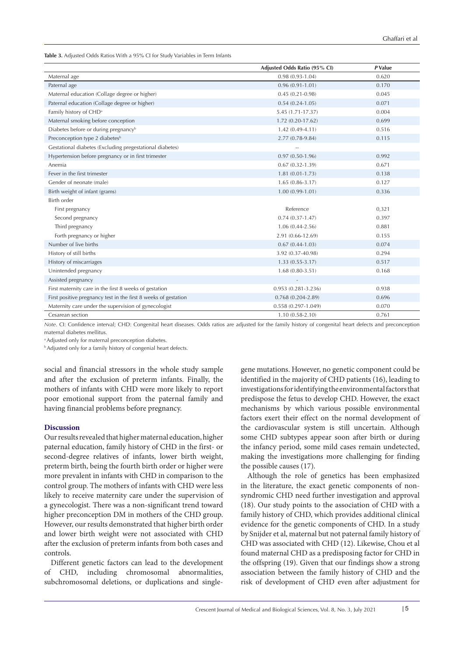**Table 3.** Adjusted Odds Ratios With a 95% CI for Study Variables in Term Infants

|                                                                 | Adjusted Odds Ratio (95% CI) | P Value |
|-----------------------------------------------------------------|------------------------------|---------|
| Maternal age                                                    | $0.98(0.93 - 1.04)$          | 0.620   |
| Paternal age                                                    | $0.96(0.91-1.01)$            | 0.170   |
| Maternal education (Collage degree or higher)                   | $0.45(0.21-0.98)$            | 0.045   |
| Paternal education (Collage degree or higher)                   | $0.54(0.24-1.05)$            | 0.071   |
| Family history of CHD <sup>a</sup>                              | 5.45 (1.71-17.37)            | 0.004   |
| Maternal smoking before conception                              | $1.72(0.20 - 17.62)$         | 0.699   |
| Diabetes before or during pregnancy <sup>b</sup>                | $1.42(0.49-4.11)$            | 0.516   |
| Preconception type 2 diabetes <sup>b</sup>                      | 2.77 (0.78-9.84)             | 0.115   |
| Gestational diabetes (Excluding pregestational diabetes)        |                              |         |
| Hypertension before pregnancy or in first trimester             | $0.97(0.50-1.96)$            | 0.992   |
| Anemia                                                          | $0.67(0.32 - 1.39)$          | 0.671   |
| Fever in the first trimester                                    | $1.81(0.01-1.73)$            | 0.138   |
| Gender of neonate (male)                                        | $1.65(0.86-3.17)$            | 0.127   |
| Birth weight of infant (grams)                                  | $1.00(0.99-1.01)$            | 0.336   |
| Birth order                                                     |                              |         |
| First pregnancy                                                 | Reference                    | 0,321   |
| Second pregnancy                                                | $0.74(0.37 - 1.47)$          | 0.397   |
| Third pregnancy                                                 | $1.06(0.44 - 2.56)$          | 0.881   |
| Forth pregnancy or higher                                       | 2.91 (0.66-12.69)            | 0.155   |
| Number of live births                                           | $0.67(0.44-1.03)$            | 0.074   |
| History of still births                                         | 3.92 (0.37-40.98)            | 0.294   |
| History of miscarriages                                         | $1.33(0.55-3.17)$            | 0.517   |
| Unintended pregnancy                                            | $1.68(0.80-3.51)$            | 0.168   |
| Assisted pregnancy                                              |                              |         |
| First maternity care in the first 8 weeks of gestation          | $0.953(0.281 - 3.236)$       | 0.938   |
| First positive pregnancy test in the first 8 weeks of gestation | $0.768(0.204 - 2.89)$        | 0.696   |
| Maternity care under the supervision of gynecologist            | $0.558(0.297 - 1.049)$       | 0.070   |
| Cesarean section                                                | $1.10(0.58-2.10)$            | 0.761   |

*Note*. CI: Confidence interval; CHD: Congenital heart diseases. Odds ratios are adjusted for the family history of congenital heart defects and preconception maternal diabetes mellitus.

a Adjusted only for maternal preconception diabetes.

**b** Adjusted only for a family history of congenial heart defects.

social and financial stressors in the whole study sample and after the exclusion of preterm infants. Finally, the mothers of infants with CHD were more likely to report poor emotional support from the paternal family and having financial problems before pregnancy.

# **Discussion**

Our results revealed that higher maternal education, higher paternal education, family history of CHD in the first- or second-degree relatives of infants, lower birth weight, preterm birth, being the fourth birth order or higher were more prevalent in infants with CHD in comparison to the control group. The mothers of infants with CHD were less likely to receive maternity care under the supervision of a gynecologist. There was a non-significant trend toward higher preconception DM in mothers of the CHD group. However, our results demonstrated that higher birth order and lower birth weight were not associated with CHD after the exclusion of preterm infants from both cases and controls.

Different genetic factors can lead to the development of CHD, including chromosomal abnormalities, subchromosomal deletions, or duplications and single-

gene mutations. However, no genetic component could be identified in the majority of CHD patients (16), leading to investigations for identifying the environmental factors that predispose the fetus to develop CHD. However, the exact mechanisms by which various possible environmental factors exert their effect on the normal development of the cardiovascular system is still uncertain. Although some CHD subtypes appear soon after birth or during the infancy period, some mild cases remain undetected, making the investigations more challenging for finding the possible causes (17).

Although the role of genetics has been emphasized in the literature, the exact genetic components of nonsyndromic CHD need further investigation and approval (18). Our study points to the association of CHD with a family history of CHD, which provides additional clinical evidence for the genetic components of CHD. In a study by Snijder et al, maternal but not paternal family history of CHD was associated with CHD (12). Likewise, Chou et al found maternal CHD as a predisposing factor for CHD in the offspring (19). Given that our findings show a strong association between the family history of CHD and the risk of development of CHD even after adjustment for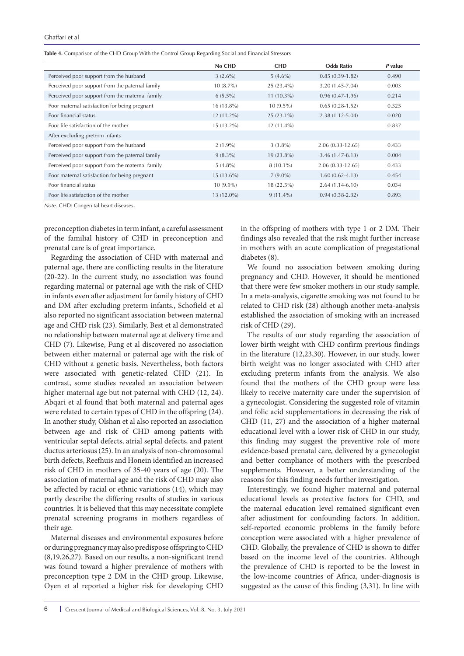**Table 4.** Comparison of the CHD Group With the Control Group Regarding Social and Financial Stressors

|                                                 | No CHD       | <b>CHD</b>   | <b>Odds Ratio</b>    | P value |
|-------------------------------------------------|--------------|--------------|----------------------|---------|
| Perceived poor support from the husband         | $3(2.6\%)$   | $5(4.6\%)$   | $0.85(0.39-1.82)$    | 0.490   |
| Perceived poor support from the paternal family | $10(8.7\%)$  | 25 (23.4%)   | 3.20 (1.45-7.04)     | 0.003   |
| Perceived poor support from the maternal family | $6(5.5\%)$   | $11(10.3\%)$ | $0.96(0.47-1.96)$    | 0.214   |
| Poor maternal satisfaction for being pregnant   | $16(13.8\%)$ | $10(9.5\%)$  | $0.65(0.28-1.52)$    | 0.325   |
| Poor financial status                           | $12(11.2\%)$ | $25(23.1\%)$ | $2.38(1.12 - 5.04)$  | 0.020   |
| Poor life satisfaction of the mother            | 15 (13.2%)   | $12(11.4\%)$ |                      | 0.837   |
| After excluding preterm infants                 |              |              |                      |         |
| Perceived poor support from the husband         | $2(1.9\%)$   | $3(3.8\%)$   | $2.06(0.33-12.65)$   | 0.433   |
| Perceived poor support from the paternal family | $9(8.3\%)$   | $19(23.8\%)$ | $3.46(1.47-8.13)$    | 0.004   |
| Perceived poor support from the maternal family | $5(4.8\%)$   | $8(10.1\%)$  | $2.06(0.33 - 12.65)$ | 0.433   |
| Poor maternal satisfaction for being pregnant   | $15(13.6\%)$ | $7(9.0\%)$   | $1.60(0.62 - 4.13)$  | 0.454   |
| Poor financial status                           | $10(9.9\%)$  | 18 (22.5%)   | $2.64(1.14-6.10)$    | 0.034   |
| Poor life satisfaction of the mother            | $13(12.0\%)$ | $9(11.4\%)$  | $0.94(0.38-2.32)$    | 0.893   |

*Note*. CHD: Congenital heart diseases.

preconception diabetes in term infant, a careful assessment of the familial history of CHD in preconception and prenatal care is of great importance.

Regarding the association of CHD with maternal and paternal age, there are conflicting results in the literature (20-22). In the current study, no association was found regarding maternal or paternal age with the risk of CHD in infants even after adjustment for family history of CHD and DM after excluding preterm infants., Schofield et al also reported no significant association between maternal age and CHD risk (23). Similarly, Best et al demonstrated no relationship between maternal age at delivery time and CHD (7). Likewise, Fung et al discovered no association between either maternal or paternal age with the risk of CHD without a genetic basis. Nevertheless, both factors were associated with genetic-related CHD (21). In contrast, some studies revealed an association between higher maternal age but not paternal with CHD (12, 24). Abqari et al found that both maternal and paternal ages were related to certain types of CHD in the offspring (24). In another study, Olshan et al also reported an association between age and risk of CHD among patients with ventricular septal defects, atrial septal defects, and patent ductus arteriosus (25). In an analysis of non-chromosomal birth defects, Reefhuis and Honein identified an increased risk of CHD in mothers of 35-40 years of age (20). The association of maternal age and the risk of CHD may also be affected by racial or ethnic variations (14), which may partly describe the differing results of studies in various countries. It is believed that this may necessitate complete prenatal screening programs in mothers regardless of their age.

Maternal diseases and environmental exposures before or during pregnancy may also predispose offspring to CHD (8,19,26,27). Based on our results, a non-significant trend was found toward a higher prevalence of mothers with preconception type 2 DM in the CHD group. Likewise, Oyen et al reported a higher risk for developing CHD

in the offspring of mothers with type 1 or 2 DM. Their findings also revealed that the risk might further increase in mothers with an acute complication of pregestational diabetes (8).

We found no association between smoking during pregnancy and CHD. However, it should be mentioned that there were few smoker mothers in our study sample. In a meta-analysis, cigarette smoking was not found to be related to CHD risk (28) although another meta-analysis established the association of smoking with an increased risk of CHD (29).

The results of our study regarding the association of lower birth weight with CHD confirm previous findings in the literature (12,23,30). However, in our study, lower birth weight was no longer associated with CHD after excluding preterm infants from the analysis. We also found that the mothers of the CHD group were less likely to receive maternity care under the supervision of a gynecologist. Considering the suggested role of vitamin and folic acid supplementations in decreasing the risk of CHD (11, 27) and the association of a higher maternal educational level with a lower risk of CHD in our study, this finding may suggest the preventive role of more evidence-based prenatal care, delivered by a gynecologist and better compliance of mothers with the prescribed supplements. However, a better understanding of the reasons for this finding needs further investigation.

Interestingly, we found higher maternal and paternal educational levels as protective factors for CHD, and the maternal education level remained significant even after adjustment for confounding factors. In addition, self-reported economic problems in the family before conception were associated with a higher prevalence of CHD. Globally, the prevalence of CHD is shown to differ based on the income level of the countries. Although the prevalence of CHD is reported to be the lowest in the low-income countries of Africa, under-diagnosis is suggested as the cause of this finding (3,31). In line with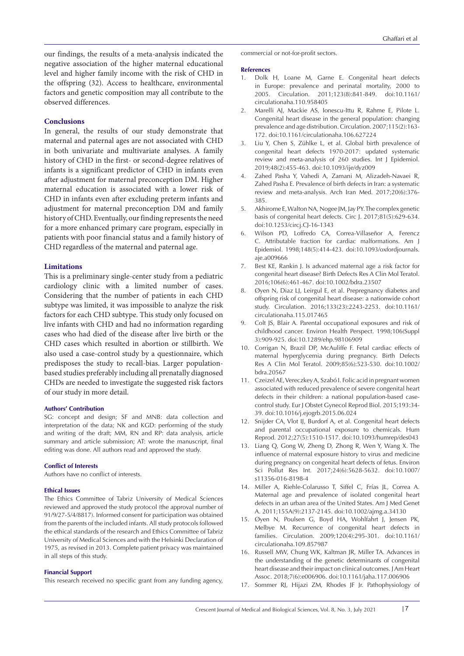our findings, the results of a meta-analysis indicated the negative association of the higher maternal educational level and higher family income with the risk of CHD in the offspring (32). Access to healthcare, environmental factors and genetic composition may all contribute to the observed differences.

# **Conclusions**

In general, the results of our study demonstrate that maternal and paternal ages are not associated with CHD in both univariate and multivariate analyses. A family history of CHD in the first- or second-degree relatives of infants is a significant predictor of CHD in infants even after adjustment for maternal preconception DM. Higher maternal education is associated with a lower risk of CHD in infants even after excluding preterm infants and adjustment for maternal preconception DM and family history of CHD. Eventually, our finding represents the need for a more enhanced primary care program, especially in patients with poor financial status and a family history of CHD regardless of the maternal and paternal age.

# **Limitations**

This is a preliminary single-center study from a pediatric cardiology clinic with a limited number of cases. Considering that the number of patients in each CHD subtype was limited, it was impossible to analyze the risk factors for each CHD subtype. This study only focused on live infants with CHD and had no information regarding cases who had died of the disease after live birth or the CHD cases which resulted in abortion or stillbirth. We also used a case-control study by a questionnaire, which predisposes the study to recall-bias. Larger populationbased studies preferably including all prenatally diagnosed CHDs are needed to investigate the suggested risk factors of our study in more detail.

#### **Authors' Contribution**

SG: concept and design; SF and MNB: data collection and interpretation of the data; NK and KGD: performing of the study and writing of the draft; MM, RN and RP: data analysis, article summary and article submission; AT: wrote the manuscript, final editing was done. All authors read and approved the study.

#### **Conflict of Interests**

Authors have no conflict of interests.

# **Ethical Issues**

The Ethics Committee of Tabriz University of Medical Sciences reviewed and approved the study protocol (the approval number of 91/9/27-5/4/8817). Informed consent for participation was obtained from the parents of the included infants. All study protocols followed the ethical standards of the research and Ethics Committee of Tabriz University of Medical Sciences and with the Helsinki Declaration of 1975, as revised in 2013. Complete patient privacy was maintained in all steps of this study.

# **Financial Support**

This research received no specific grant from any funding agency,

commercial or not-for-profit sectors.

#### **References**

- 1. Dolk H, Loane M, Garne E. Congenital heart defects in Europe: prevalence and perinatal mortality, 2000 to 2005. Circulation. 2011;123(8):841-849. doi:10.1161/ circulationaha.110.958405
- 2. Marelli AJ, Mackie AS, Ionescu-Ittu R, Rahme E, Pilote L. Congenital heart disease in the general population: changing prevalence and age distribution. Circulation. 2007;115(2):163- 172. doi:10.1161/circulationaha.106.627224
- 3. Liu Y, Chen S, Zühlke L, et al. Global birth prevalence of congenital heart defects 1970-2017: updated systematic review and meta-analysis of 260 studies. Int J Epidemiol. 2019;48(2):455-463. doi:10.1093/ije/dyz009
- 4. Zahed Pasha Y, Vahedi A, Zamani M, Alizadeh-Navaei R, Zahed Pasha E. Prevalence of birth defects in Iran: a systematic review and meta-analysis. Arch Iran Med. 2017;20(6):376- 385.
- 5. Akhirome E, Walton NA, Nogee JM, Jay PY. The complex genetic basis of congenital heart defects. Circ J. 2017;81(5):629-634. doi:10.1253/circj.CJ-16-1343
- 6. Wilson PD, Loffredo CA, Correa-Villaseñor A, Ferencz C. Attributable fraction for cardiac malformations. Am J Epidemiol. 1998;148(5):414-423. doi:10.1093/oxfordjournals. aje.a009666
- Best KE, Rankin J. Is advanced maternal age a risk factor for congenital heart disease? Birth Defects Res A Clin Mol Teratol. 2016;106(6):461-467. doi:10.1002/bdra.23507
- Øyen N, Diaz LJ, Leirgul E, et al. Prepregnancy diabetes and offspring risk of congenital heart disease: a nationwide cohort study. Circulation. 2016;133(23):2243-2253. doi:10.1161/ circulationaha.115.017465
- 9. Colt JS, Blair A. Parental occupational exposures and risk of childhood cancer. Environ Health Perspect. 1998;106(Suppl 3):909-925. doi:10.1289/ehp.98106909
- 10. Corrigan N, Brazil DP, McAuliffe F. Fetal cardiac effects of maternal hyperglycemia during pregnancy. Birth Defects Res A Clin Mol Teratol. 2009;85(6):523-530. doi:10.1002/ bdra.20567
- 11. Czeizel AE, Vereczkey A, Szabó I. Folic acid in pregnant women associated with reduced prevalence of severe congenital heart defects in their children: a national population-based casecontrol study. Eur J Obstet Gynecol Reprod Biol. 2015;193:34- 39. doi:10.1016/j.ejogrb.2015.06.024
- 12. Snijder CA, Vlot IJ, Burdorf A, et al. Congenital heart defects and parental occupational exposure to chemicals. Hum Reprod. 2012;27(5):1510-1517. doi:10.1093/humrep/des043
- 13. Liang Q, Gong W, Zheng D, Zhong R, Wen Y, Wang X. The influence of maternal exposure history to virus and medicine during pregnancy on congenital heart defects of fetus. Environ Sci Pollut Res Int. 2017;24(6):5628-5632. doi:10.1007/ s11356-016-8198-4
- 14. Miller A, Riehle-Colarusso T, Siffel C, Frías JL, Correa A. Maternal age and prevalence of isolated congenital heart defects in an urban area of the United States. Am J Med Genet A. 2011;155A(9):2137-2145. doi:10.1002/ajmg.a.34130
- 15. Øyen N, Poulsen G, Boyd HA, Wohlfahrt J, Jensen PK, Melbye M. Recurrence of congenital heart defects in families. Circulation. 2009;120(4):295-301. doi:10.1161/ circulationaha.109.857987
- 16. Russell MW, Chung WK, Kaltman JR, Miller TA. Advances in the understanding of the genetic determinants of congenital heart disease and their impact on clinical outcomes. J Am Heart Assoc. 2018;7(6):e006906. doi:10.1161/jaha.117.006906
- 17. Sommer RJ, Hijazi ZM, Rhodes JF Jr. Pathophysiology of